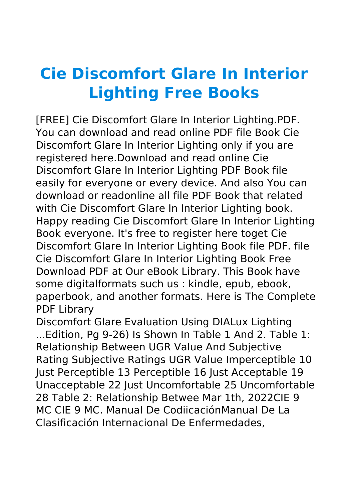## **Cie Discomfort Glare In Interior Lighting Free Books**

[FREE] Cie Discomfort Glare In Interior Lighting.PDF. You can download and read online PDF file Book Cie Discomfort Glare In Interior Lighting only if you are registered here.Download and read online Cie Discomfort Glare In Interior Lighting PDF Book file easily for everyone or every device. And also You can download or readonline all file PDF Book that related with Cie Discomfort Glare In Interior Lighting book. Happy reading Cie Discomfort Glare In Interior Lighting Book everyone. It's free to register here toget Cie Discomfort Glare In Interior Lighting Book file PDF. file Cie Discomfort Glare In Interior Lighting Book Free Download PDF at Our eBook Library. This Book have some digitalformats such us : kindle, epub, ebook, paperbook, and another formats. Here is The Complete PDF Library

Discomfort Glare Evaluation Using DIALux Lighting ...Edition, Pg 9-26) Is Shown In Table 1 And 2. Table 1: Relationship Between UGR Value And Subjective Rating Subjective Ratings UGR Value Imperceptible 10 Just Perceptible 13 Perceptible 16 Just Acceptable 19 Unacceptable 22 Just Uncomfortable 25 Uncomfortable 28 Table 2: Relationship Betwee Mar 1th, 2022CIE 9 MC CIE 9 MC. Manual De CodiicaciónManual De La Clasificación Internacional De Enfermedades,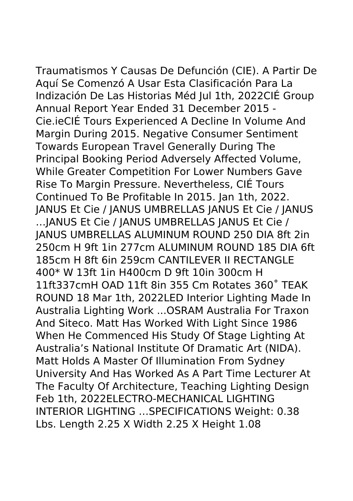Traumatismos Y Causas De Defunción (CIE). A Partir De Aquí Se Comenzó A Usar Esta Clasificación Para La Indización De Las Historias Méd Jul 1th, 2022CIÉ Group Annual Report Year Ended 31 December 2015 - Cie.ieCIÉ Tours Experienced A Decline In Volume And Margin During 2015. Negative Consumer Sentiment Towards European Travel Generally During The Principal Booking Period Adversely Affected Volume, While Greater Competition For Lower Numbers Gave Rise To Margin Pressure. Nevertheless, CIÉ Tours Continued To Be Profitable In 2015. Jan 1th, 2022. JANUS Et Cie / JANUS UMBRELLAS JANUS Et Cie / JANUS …JANUS Et Cie / JANUS UMBRELLAS JANUS Et Cie / JANUS UMBRELLAS ALUMINUM ROUND 250 DIA 8ft 2in 250cm H 9ft 1in 277cm ALUMINUM ROUND 185 DIA 6ft 185cm H 8ft 6in 259cm CANTILEVER II RECTANGLE 400\* W 13ft 1in H400cm D 9ft 10in 300cm H 11ft337cmH OAD 11ft 8in 355 Cm Rotates 360˚ TEAK ROUND 18 Mar 1th, 2022LED Interior Lighting Made In Australia Lighting Work ...OSRAM Australia For Traxon And Siteco. Matt Has Worked With Light Since 1986 When He Commenced His Study Of Stage Lighting At Australia's National Institute Of Dramatic Art (NIDA). Matt Holds A Master Of Illumination From Sydney

University And Has Worked As A Part Time Lecturer At The Faculty Of Architecture, Teaching Lighting Design Feb 1th, 2022ELECTRO-MECHANICAL LIGHTING INTERIOR LIGHTING …SPECIFICATIONS Weight: 0.38 Lbs. Length 2.25 X Width 2.25 X Height 1.08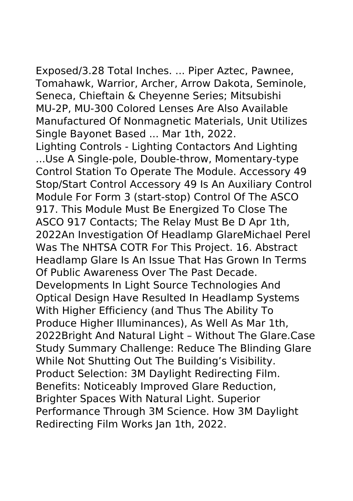Exposed/3.28 Total Inches. ... Piper Aztec, Pawnee, Tomahawk, Warrior, Archer, Arrow Dakota, Seminole, Seneca, Chieftain & Cheyenne Series; Mitsubishi MU-2P, MU-300 Colored Lenses Are Also Available Manufactured Of Nonmagnetic Materials, Unit Utilizes Single Bayonet Based ... Mar 1th, 2022. Lighting Controls - Lighting Contactors And Lighting ...Use A Single-pole, Double-throw, Momentary-type Control Station To Operate The Module. Accessory 49 Stop/Start Control Accessory 49 Is An Auxiliary Control Module For Form 3 (start-stop) Control Of The ASCO 917. This Module Must Be Energized To Close The ASCO 917 Contacts; The Relay Must Be D Apr 1th, 2022An Investigation Of Headlamp GlareMichael Perel Was The NHTSA COTR For This Project. 16. Abstract Headlamp Glare Is An Issue That Has Grown In Terms Of Public Awareness Over The Past Decade. Developments In Light Source Technologies And Optical Design Have Resulted In Headlamp Systems With Higher Efficiency (and Thus The Ability To Produce Higher Illuminances), As Well As Mar 1th, 2022Bright And Natural Light – Without The Glare.Case Study Summary Challenge: Reduce The Blinding Glare While Not Shutting Out The Building's Visibility. Product Selection: 3M Daylight Redirecting Film. Benefits: Noticeably Improved Glare Reduction, Brighter Spaces With Natural Light. Superior Performance Through 3M Science. How 3M Daylight Redirecting Film Works Jan 1th, 2022.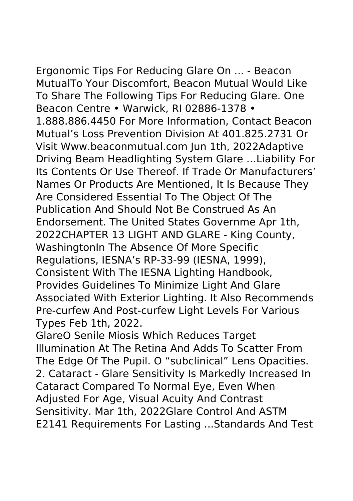## Ergonomic Tips For Reducing Glare On ... - Beacon MutualTo Your Discomfort, Beacon Mutual Would Like To Share The Following Tips For Reducing Glare. One

Beacon Centre • Warwick, RI 02886-1378 • 1.888.886.4450 For More Information, Contact Beacon Mutual's Loss Prevention Division At 401.825.2731 Or Visit Www.beaconmutual.com Jun 1th, 2022Adaptive Driving Beam Headlighting System Glare …Liability For Its Contents Or Use Thereof. If Trade Or Manufacturers' Names Or Products Are Mentioned, It Is Because They Are Considered Essential To The Object Of The Publication And Should Not Be Construed As An Endorsement. The United States Governme Apr 1th, 2022CHAPTER 13 LIGHT AND GLARE - King County, WashingtonIn The Absence Of More Specific Regulations, IESNA's RP-33-99 (IESNA, 1999), Consistent With The IESNA Lighting Handbook, Provides Guidelines To Minimize Light And Glare Associated With Exterior Lighting. It Also Recommends Pre-curfew And Post-curfew Light Levels For Various Types Feb 1th, 2022.

GlareO Senile Miosis Which Reduces Target Illumination At The Retina And Adds To Scatter From The Edge Of The Pupil. O "subclinical" Lens Opacities. 2. Cataract - Glare Sensitivity Is Markedly Increased In Cataract Compared To Normal Eye, Even When Adjusted For Age, Visual Acuity And Contrast Sensitivity. Mar 1th, 2022Glare Control And ASTM E2141 Requirements For Lasting ...Standards And Test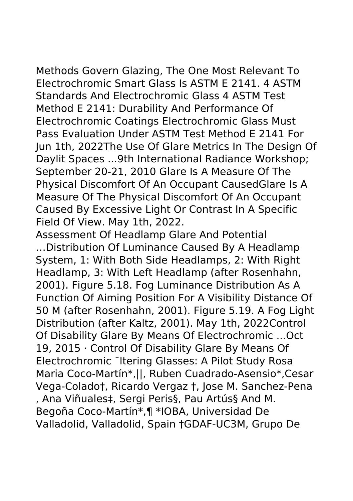## Methods Govern Glazing, The One Most Relevant To Electrochromic Smart Glass Is ASTM E 2141. 4 ASTM Standards And Electrochromic Glass 4 ASTM Test Method E 2141: Durability And Performance Of Electrochromic Coatings Electrochromic Glass Must Pass Evaluation Under ASTM Test Method E 2141 For Jun 1th, 2022The Use Of Glare Metrics In The Design Of Daylit Spaces ...9th International Radiance Workshop; September 20-21, 2010 Glare Is A Measure Of The

Physical Discomfort Of An Occupant CausedGlare Is A Measure Of The Physical Discomfort Of An Occupant Caused By Excessive Light Or Contrast In A Specific Field Of View. May 1th, 2022.

Assessment Of Headlamp Glare And Potential …Distribution Of Luminance Caused By A Headlamp System, 1: With Both Side Headlamps, 2: With Right Headlamp, 3: With Left Headlamp (after Rosenhahn, 2001). Figure 5.18. Fog Luminance Distribution As A Function Of Aiming Position For A Visibility Distance Of 50 M (after Rosenhahn, 2001). Figure 5.19. A Fog Light Distribution (after Kaltz, 2001). May 1th, 2022Control Of Disability Glare By Means Of Electrochromic ...Oct 19, 2015 · Control Of Disability Glare By Means Of Electrochromic ¯ltering Glasses: A Pilot Study Rosa Maria Coco-Martín\*,||, Ruben Cuadrado-Asensio\*,Cesar Vega-Colado†, Ricardo Vergaz †, Jose M. Sanchez-Pena , Ana Viñuales‡, Sergi Peris§, Pau Artús§ And M. Begoña Coco-Martín\*,¶ \*IOBA, Universidad De Valladolid, Valladolid, Spain †GDAF-UC3M, Grupo De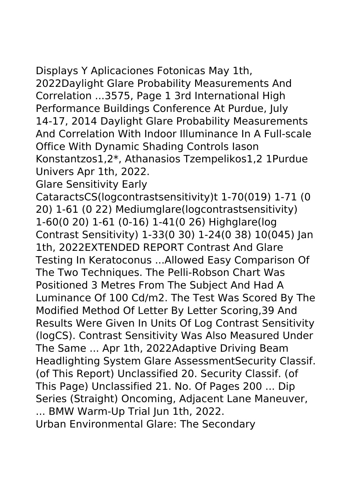Displays Y Aplicaciones Fotonicas May 1th, 2022Daylight Glare Probability Measurements And Correlation ...3575, Page 1 3rd International High Performance Buildings Conference At Purdue, July 14-17, 2014 Daylight Glare Probability Measurements And Correlation With Indoor Illuminance In A Full-scale Office With Dynamic Shading Controls Iason Konstantzos1,2\*, Athanasios Tzempelikos1,2 1Purdue Univers Apr 1th, 2022.

Glare Sensitivity Early

CataractsCS(logcontrastsensitivity)t 1-70(019) 1-71 (0 20) 1-61 (0 22) Mediumglare(logcontrastsensitivity) 1-60(0 20) 1-61 (0-16) 1-41(0 26) Highglare(log Contrast Sensitivity) 1-33(0 30) 1-24(0 38) 10(045) Jan 1th, 2022EXTENDED REPORT Contrast And Glare Testing In Keratoconus ...Allowed Easy Comparison Of The Two Techniques. The Pelli-Robson Chart Was Positioned 3 Metres From The Subject And Had A Luminance Of 100 Cd/m2. The Test Was Scored By The Modified Method Of Letter By Letter Scoring,39 And Results Were Given In Units Of Log Contrast Sensitivity (logCS). Contrast Sensitivity Was Also Measured Under The Same ... Apr 1th, 2022Adaptive Driving Beam Headlighting System Glare AssessmentSecurity Classif. (of This Report) Unclassified 20. Security Classif. (of This Page) Unclassified 21. No. Of Pages 200 ... Dip Series (Straight) Oncoming, Adjacent Lane Maneuver, ... BMW Warm-Up Trial Jun 1th, 2022. Urban Environmental Glare: The Secondary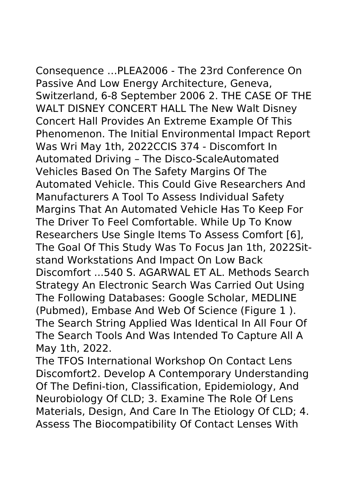Consequence …PLEA2006 - The 23rd Conference On Passive And Low Energy Architecture, Geneva, Switzerland, 6-8 September 2006 2. THE CASE OF THE WALT DISNEY CONCERT HALL The New Walt Disney Concert Hall Provides An Extreme Example Of This Phenomenon. The Initial Environmental Impact Report Was Wri May 1th, 2022CCIS 374 - Discomfort In Automated Driving – The Disco-ScaleAutomated Vehicles Based On The Safety Margins Of The Automated Vehicle. This Could Give Researchers And Manufacturers A Tool To Assess Individual Safety Margins That An Automated Vehicle Has To Keep For The Driver To Feel Comfortable. While Up To Know Researchers Use Single Items To Assess Comfort [6], The Goal Of This Study Was To Focus Jan 1th, 2022Sitstand Workstations And Impact On Low Back Discomfort ...540 S. AGARWAL ET AL. Methods Search Strategy An Electronic Search Was Carried Out Using The Following Databases: Google Scholar, MEDLINE (Pubmed), Embase And Web Of Science (Figure 1 ). The Search String Applied Was Identical In All Four Of The Search Tools And Was Intended To Capture All A May 1th, 2022.

The TFOS International Workshop On Contact Lens Discomfort2. Develop A Contemporary Understanding Of The Defini-tion, Classification, Epidemiology, And Neurobiology Of CLD; 3. Examine The Role Of Lens Materials, Design, And Care In The Etiology Of CLD; 4. Assess The Biocompatibility Of Contact Lenses With